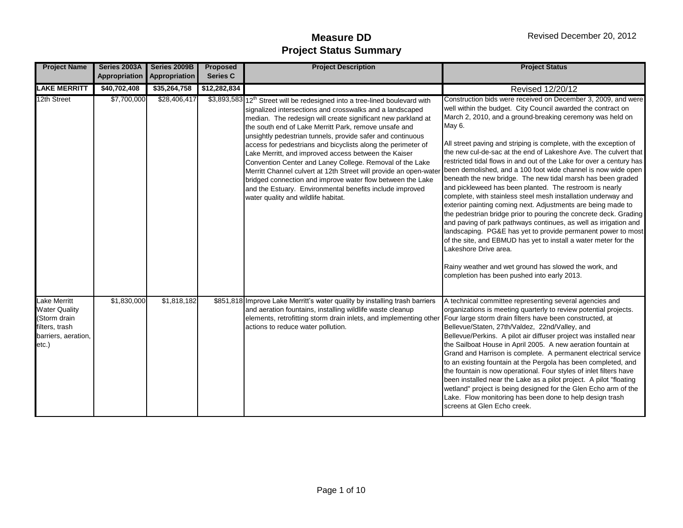| <b>Project Name</b>                                                                                    | Series 2003A | Series 2009B                | <b>Proposed</b> | <b>Project Description</b>                                                                                                                                                                                                                                                                                                                                                                                                                                                                                                                                                                                                                                                                                                                                          | <b>Project Status</b>                                                                                                                                                                                                                                                                                                                                                                                                                                                                                                                                                                                                                                                                                                                                                                                                                                                                                                                                                                                                                                                                                                                                          |
|--------------------------------------------------------------------------------------------------------|--------------|-----------------------------|-----------------|---------------------------------------------------------------------------------------------------------------------------------------------------------------------------------------------------------------------------------------------------------------------------------------------------------------------------------------------------------------------------------------------------------------------------------------------------------------------------------------------------------------------------------------------------------------------------------------------------------------------------------------------------------------------------------------------------------------------------------------------------------------------|----------------------------------------------------------------------------------------------------------------------------------------------------------------------------------------------------------------------------------------------------------------------------------------------------------------------------------------------------------------------------------------------------------------------------------------------------------------------------------------------------------------------------------------------------------------------------------------------------------------------------------------------------------------------------------------------------------------------------------------------------------------------------------------------------------------------------------------------------------------------------------------------------------------------------------------------------------------------------------------------------------------------------------------------------------------------------------------------------------------------------------------------------------------|
|                                                                                                        |              | Appropriation Appropriation | <b>Series C</b> |                                                                                                                                                                                                                                                                                                                                                                                                                                                                                                                                                                                                                                                                                                                                                                     |                                                                                                                                                                                                                                                                                                                                                                                                                                                                                                                                                                                                                                                                                                                                                                                                                                                                                                                                                                                                                                                                                                                                                                |
| <b>LAKE MERRITT</b>                                                                                    | \$40,702,408 | \$35,264,758                | \$12,282,834    |                                                                                                                                                                                                                                                                                                                                                                                                                                                                                                                                                                                                                                                                                                                                                                     | Revised 12/20/12                                                                                                                                                                                                                                                                                                                                                                                                                                                                                                                                                                                                                                                                                                                                                                                                                                                                                                                                                                                                                                                                                                                                               |
| 12th Street                                                                                            | \$7,700,000  | \$28,406,417                |                 | \$3,893,583 12 <sup>th</sup> Street will be redesigned into a tree-lined boulevard with<br>signalized intersections and crosswalks and a landscaped<br>median. The redesign will create significant new parkland at<br>the south end of Lake Merritt Park, remove unsafe and<br>unsightly pedestrian tunnels, provide safer and continuous<br>access for pedestrians and bicyclists along the perimeter of<br>Lake Merritt, and improved access between the Kaiser<br>Convention Center and Laney College. Removal of the Lake<br>Merritt Channel culvert at 12th Street will provide an open-wate<br>bridged connection and improve water flow between the Lake<br>and the Estuary. Environmental benefits include improved<br>water quality and wildlife habitat. | Construction bids were received on December 3, 2009, and were<br>well within the budget. City Council awarded the contract on<br>March 2, 2010, and a ground-breaking ceremony was held on<br>May 6.<br>All street paving and striping is complete, with the exception of<br>the new cul-de-sac at the end of Lakeshore Ave. The culvert that<br>restricted tidal flows in and out of the Lake for over a century has<br>been demolished, and a 100 foot wide channel is now wide open<br>beneath the new bridge. The new tidal marsh has been graded<br>and pickleweed has been planted. The restroom is nearly<br>complete, with stainless steel mesh installation underway and<br>exterior painting coming next. Adjustments are being made to<br>the pedestrian bridge prior to pouring the concrete deck. Grading<br>and paving of park pathways continues, as well as irrigation and<br>landscaping. PG&E has yet to provide permanent power to most<br>of the site, and EBMUD has yet to install a water meter for the<br>Lakeshore Drive area.<br>Rainy weather and wet ground has slowed the work, and<br>completion has been pushed into early 2013. |
| Lake Merritt<br><b>Water Quality</b><br>(Storm drain<br>filters, trash<br>barriers, aeration,<br>etc.) | \$1,830,000  | \$1,818,182                 |                 | \$851,818 Improve Lake Merritt's water quality by installing trash barriers<br>and aeration fountains, installing wildlife waste cleanup<br>elements, retrofitting storm drain inlets, and implementing other Four large storm drain filters have been constructed, at<br>actions to reduce water pollution.                                                                                                                                                                                                                                                                                                                                                                                                                                                        | A technical committee representing several agencies and<br>organizations is meeting quarterly to review potential projects.<br>Bellevue/Staten, 27th/Valdez, 22nd/Valley, and<br>Bellevue/Perkins. A pilot air diffuser project was installed near<br>the Sailboat House in April 2005. A new aeration fountain at<br>Grand and Harrison is complete. A permanent electrical service<br>to an existing fountain at the Pergola has been completed, and<br>the fountain is now operational. Four styles of inlet filters have<br>been installed near the Lake as a pilot project. A pilot "floating<br>wetland" project is being designed for the Glen Echo arm of the<br>Lake. Flow monitoring has been done to help design trash<br>screens at Glen Echo creek.                                                                                                                                                                                                                                                                                                                                                                                               |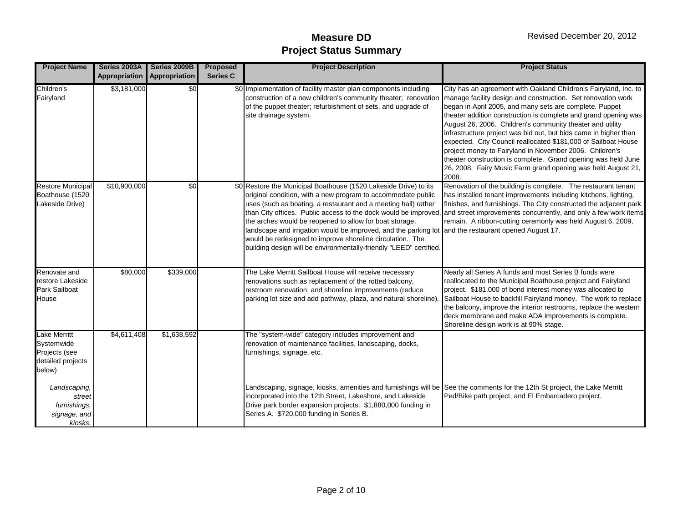| <b>Project Name</b>                                                        | Series 2003A<br>Appropriation | Series 2009B<br>Appropriation | <b>Proposed</b><br><b>Series C</b> | <b>Project Description</b>                                                                                                                                                                                                                                                                                                                                                                                                                                                                               | <b>Project Status</b>                                                                                                                                                                                                                                                                                                                                                                                                                                                                                                                                                                                                                                                  |
|----------------------------------------------------------------------------|-------------------------------|-------------------------------|------------------------------------|----------------------------------------------------------------------------------------------------------------------------------------------------------------------------------------------------------------------------------------------------------------------------------------------------------------------------------------------------------------------------------------------------------------------------------------------------------------------------------------------------------|------------------------------------------------------------------------------------------------------------------------------------------------------------------------------------------------------------------------------------------------------------------------------------------------------------------------------------------------------------------------------------------------------------------------------------------------------------------------------------------------------------------------------------------------------------------------------------------------------------------------------------------------------------------------|
| Children's<br>Fairyland                                                    | \$3,181,000                   | \$0                           |                                    | \$0 Implementation of facility master plan components including<br>construction of a new children's community theater; renovation<br>of the puppet theater; refurbishment of sets, and upgrade of<br>site drainage system.                                                                                                                                                                                                                                                                               | City has an agreement with Oakland Children's Fairyland, Inc. to<br>manage facility design and construction. Set renovation work<br>began in April 2005, and many sets are complete. Puppet<br>theater addition construction is complete and grand opening was<br>August 26, 2006. Children's community theater and utility<br>infrastructure project was bid out, but bids came in higher than<br>expected. City Council reallocated \$181,000 of Sailboat House<br>project money to Fairyland in November 2006. Children's<br>theater construction is complete. Grand opening was held June<br>26, 2008. Fairy Music Farm grand opening was held August 21,<br>2008. |
| <b>Restore Municipal</b><br>Boathouse (1520<br>Lakeside Drive)             | \$10,900,000                  | $\sqrt{6}$                    |                                    | \$0 Restore the Municipal Boathouse (1520 Lakeside Drive) to its<br>original condition, with a new program to accommodate public<br>uses (such as boating, a restaurant and a meeting hall) rather<br>the arches would be reopened to allow for boat storage,<br>landscape and irrigation would be improved, and the parking lot and the restaurant opened August 17.<br>would be redesigned to improve shoreline circulation. The<br>building design will be environmentally-friendly "LEED" certified. | Renovation of the building is complete. The restaurant tenant<br>has installed tenant improvements including kitchens, lighting,<br>finishes, and furnishings. The City constructed the adjacent park<br>than City offices. Public access to the dock would be improved, and street improvements concurrently, and only a few work items<br>remain. A ribbon-cutting ceremonly was held August 6, 2009,                                                                                                                                                                                                                                                                |
| Renovate and<br>restore Lakeside<br><b>Park Sailboat</b><br>House          | \$80,000                      | \$339,000                     |                                    | The Lake Merritt Sailboat House will receive necessary<br>renovations such as replacement of the rotted balcony,<br>restroom renovation, and shoreline improvements (reduce<br>parking lot size and add pathway, plaza, and natural shoreline)                                                                                                                                                                                                                                                           | Nearly all Series A funds and most Series B funds were<br>reallocated to the Municipal Boathouse project and Fairyland<br>project. \$181,000 of bond interest money was allocated to<br>Sailboat House to backfill Fairyland money. The work to replace<br>the balcony, improve the interior restrooms, replace the western<br>deck membrane and make ADA improvements is complete.<br>Shoreline design work is at 90% stage.                                                                                                                                                                                                                                          |
| Lake Merritt<br>Systemwide<br>Projects (see<br>detailed projects<br>below) | \$4,611,408                   | \$1,638,592                   |                                    | The "system-wide" category includes improvement and<br>renovation of maintenance facilities, landscaping, docks,<br>furnishings, signage, etc.                                                                                                                                                                                                                                                                                                                                                           |                                                                                                                                                                                                                                                                                                                                                                                                                                                                                                                                                                                                                                                                        |
| Landscaping,<br>street<br>furnishings,<br>signage, and<br>kiosks.          |                               |                               |                                    | Landscaping, signage, kiosks, amenities and furnishings will be See the comments for the 12th St project, the Lake Merritt<br>incorporated into the 12th Street, Lakeshore, and Lakeside<br>Drive park border expansion projects. \$1,880,000 funding in<br>Series A. \$720,000 funding in Series B.                                                                                                                                                                                                     | Ped/Bike path project, and El Embarcadero project.                                                                                                                                                                                                                                                                                                                                                                                                                                                                                                                                                                                                                     |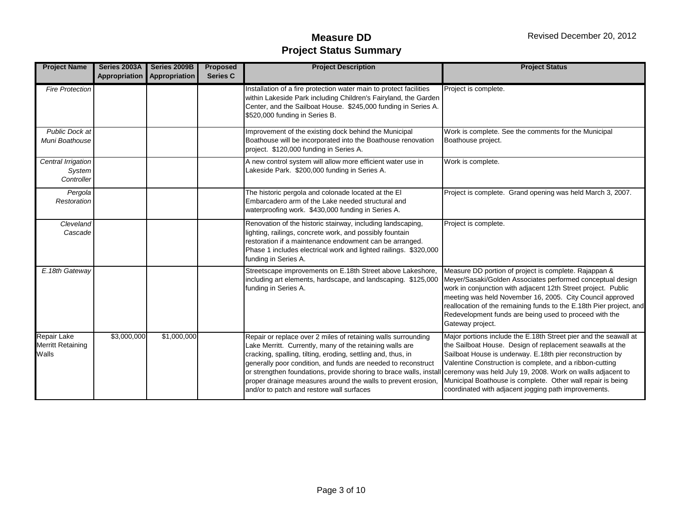| <b>Project Name</b>                        | Series 2003A | Series 2009B<br>Appropriation Appropriation | <b>Proposed</b><br><b>Series C</b> | <b>Project Description</b>                                                                                                                                                                                                                                                                                                                                                                                                                                                                                | <b>Project Status</b>                                                                                                                                                                                                                                                                                                                                                                                  |
|--------------------------------------------|--------------|---------------------------------------------|------------------------------------|-----------------------------------------------------------------------------------------------------------------------------------------------------------------------------------------------------------------------------------------------------------------------------------------------------------------------------------------------------------------------------------------------------------------------------------------------------------------------------------------------------------|--------------------------------------------------------------------------------------------------------------------------------------------------------------------------------------------------------------------------------------------------------------------------------------------------------------------------------------------------------------------------------------------------------|
| <b>Fire Protection</b>                     |              |                                             |                                    | Installation of a fire protection water main to protect facilities                                                                                                                                                                                                                                                                                                                                                                                                                                        | Project is complete.                                                                                                                                                                                                                                                                                                                                                                                   |
|                                            |              |                                             |                                    | within Lakeside Park including Children's Fairyland, the Garden<br>Center, and the Sailboat House. \$245,000 funding in Series A.<br>\$520,000 funding in Series B.                                                                                                                                                                                                                                                                                                                                       |                                                                                                                                                                                                                                                                                                                                                                                                        |
| Public Dock at<br>Muni Boathouse           |              |                                             |                                    | Improvement of the existing dock behind the Municipal<br>Boathouse will be incorporated into the Boathouse renovation<br>project. \$120,000 funding in Series A.                                                                                                                                                                                                                                                                                                                                          | Work is complete. See the comments for the Municipal<br>Boathouse project.                                                                                                                                                                                                                                                                                                                             |
| Central Irrigation<br>System<br>Controller |              |                                             |                                    | A new control system will allow more efficient water use in<br>Lakeside Park. \$200,000 funding in Series A.                                                                                                                                                                                                                                                                                                                                                                                              | Work is complete.                                                                                                                                                                                                                                                                                                                                                                                      |
| Pergola<br>Restoration                     |              |                                             |                                    | The historic pergola and colonade located at the EI<br>Embarcadero arm of the Lake needed structural and<br>waterproofing work. \$430,000 funding in Series A.                                                                                                                                                                                                                                                                                                                                            | Project is complete. Grand opening was held March 3, 2007.                                                                                                                                                                                                                                                                                                                                             |
| Cleveland<br>Cascade                       |              |                                             |                                    | Renovation of the historic stairway, including landscaping,<br>lighting, railings, concrete work, and possibly fountain<br>restoration if a maintenance endowment can be arranged.<br>Phase 1 includes electrical work and lighted railings. \$320,000<br>funding in Series A.                                                                                                                                                                                                                            | Project is complete.                                                                                                                                                                                                                                                                                                                                                                                   |
| E.18th Gateway                             |              |                                             |                                    | Streetscape improvements on E.18th Street above Lakeshore,<br>including art elements, hardscape, and landscaping. \$125,000<br>funding in Series A.                                                                                                                                                                                                                                                                                                                                                       | Measure DD portion of project is complete. Rajappan &<br>Meyer/Sasaki/Golden Associates performed conceptual design<br>work in conjunction with adjacent 12th Street project. Public<br>meeting was held November 16, 2005. City Council approved<br>reallocation of the remaining funds to the E.18th Pier project, and<br>Redevelopment funds are being used to proceed with the<br>Gateway project. |
| Repair Lake<br>Merritt Retaining<br>Walls  | \$3,000,000  | \$1,000,000                                 |                                    | Repair or replace over 2 miles of retaining walls surrounding<br>Lake Merritt. Currently, many of the retaining walls are<br>cracking, spalling, tilting, eroding, settling and, thus, in<br>generally poor condition, and funds are needed to reconstruct<br>or strengthen foundations, provide shoring to brace walls, install ceremony was held July 19, 2008. Work on walls adjacent to<br>proper drainage measures around the walls to prevent erosion,<br>and/or to patch and restore wall surfaces | Major portions include the E.18th Street pier and the seawall at<br>the Sailboat House. Design of replacement seawalls at the<br>Sailboat House is underway. E.18th pier reconstruction by<br>Valentine Construction is complete, and a ribbon-cutting<br>Municipal Boathouse is complete. Other wall repair is being<br>coordinated with adjacent jogging path improvements.                          |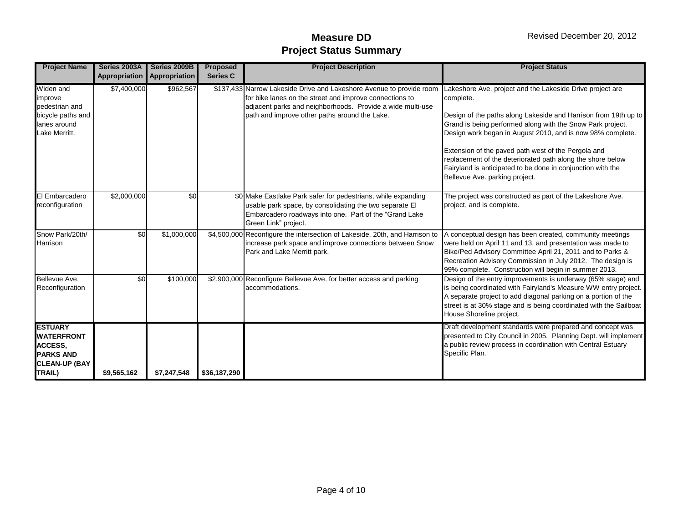| <b>Project Name</b>                                                                                  | Series 2003A<br>Appropriation | Series 2009B<br>Appropriation | <b>Proposed</b><br><b>Series C</b> | <b>Project Description</b>                                                                                                                                                                                                                     | <b>Project Status</b>                                                                                                                                                                                                                                                                                                                                                                                                                                                                       |
|------------------------------------------------------------------------------------------------------|-------------------------------|-------------------------------|------------------------------------|------------------------------------------------------------------------------------------------------------------------------------------------------------------------------------------------------------------------------------------------|---------------------------------------------------------------------------------------------------------------------------------------------------------------------------------------------------------------------------------------------------------------------------------------------------------------------------------------------------------------------------------------------------------------------------------------------------------------------------------------------|
| Widen and<br>improve<br>pedestrian and<br>bicycle paths and<br>lanes around<br>Lake Merritt.         | \$7,400,000                   | \$962,567                     |                                    | \$137,433 Narrow Lakeside Drive and Lakeshore Avenue to provide room<br>for bike lanes on the street and improve connections to<br>adjacent parks and neighborhoods. Provide a wide multi-use<br>path and improve other paths around the Lake. | Lakeshore Ave. project and the Lakeside Drive project are<br>complete.<br>Design of the paths along Lakeside and Harrison from 19th up to<br>Grand is being performed along with the Snow Park project.<br>Design work began in August 2010, and is now 98% complete.<br>Extension of the paved path west of the Pergola and<br>replacement of the deteriorated path along the shore below<br>Fairyland is anticipated to be done in conjunction with the<br>Bellevue Ave. parking project. |
| El Embarcadero<br>reconfiguration                                                                    | \$2,000,000                   | \$0                           |                                    | \$0 Make Eastlake Park safer for pedestrians, while expanding<br>usable park space, by consolidating the two separate El<br>Embarcadero roadways into one. Part of the "Grand Lake<br>Green Link" project.                                     | The project was constructed as part of the Lakeshore Ave.<br>project, and is complete.                                                                                                                                                                                                                                                                                                                                                                                                      |
| Snow Park/20th/<br>Harrison                                                                          | \$0                           | \$1,000,000                   |                                    | \$4,500,000 Reconfigure the intersection of Lakeside, 20th, and Harrison to<br>increase park space and improve connections between Snow<br>Park and Lake Merritt park.                                                                         | A conceptual design has been created, community meetings<br>were held on April 11 and 13, and presentation was made to<br>Bike/Ped Advisory Committee April 21, 2011 and to Parks &<br>Recreation Advisory Commission in July 2012. The design is<br>99% complete. Construction will begin in summer 2013.                                                                                                                                                                                  |
| Bellevue Ave.<br>Reconfiguration                                                                     | $\overline{50}$               | \$100,000                     |                                    | \$2,900,000 Reconfigure Bellevue Ave. for better access and parking<br>accommodations.                                                                                                                                                         | Design of the entry improvements is underway (65% stage) and<br>is being coordinated with Fairyland's Measure WW entry project.<br>A separate project to add diagonal parking on a portion of the<br>street is at 30% stage and is being coordinated with the Sailboat<br>House Shoreline project.                                                                                                                                                                                          |
| <b>ESTUARY</b><br><b>WATERFRONT</b><br>ACCESS,<br><b>PARKS AND</b><br><b>CLEAN-UP (BAY</b><br>TRAIL) | \$9,565,162                   | \$7,247,548                   | \$36,187,290                       |                                                                                                                                                                                                                                                | Draft development standards were prepared and concept was<br>presented to City Council in 2005. Planning Dept. will implement<br>a public review process in coordination with Central Estuary<br>Specific Plan.                                                                                                                                                                                                                                                                             |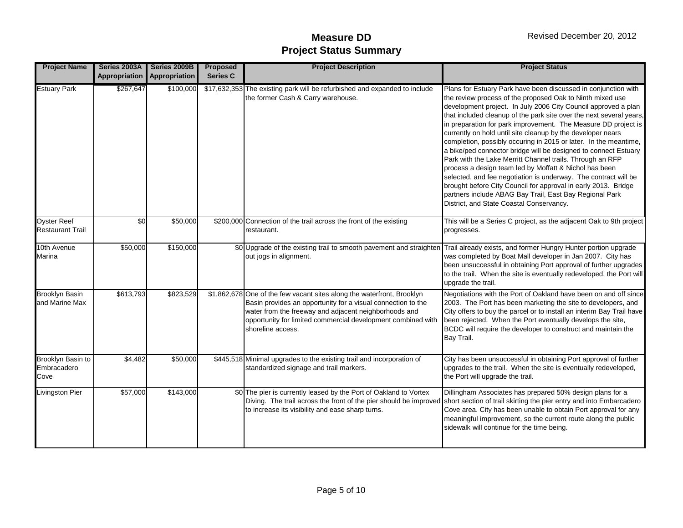| <b>Project Name</b>                           | Series 2003A<br><b>Appropriation</b> | Series 2009B<br>Appropriation | <b>Proposed</b><br><b>Series C</b> | <b>Project Description</b>                                                                                                                                                                                                                                                           | <b>Project Status</b>                                                                                                                                                                                                                                                                                                                                                                                                                                                                                                                                                                                                                                                                                                                                                                                                                                                                                           |
|-----------------------------------------------|--------------------------------------|-------------------------------|------------------------------------|--------------------------------------------------------------------------------------------------------------------------------------------------------------------------------------------------------------------------------------------------------------------------------------|-----------------------------------------------------------------------------------------------------------------------------------------------------------------------------------------------------------------------------------------------------------------------------------------------------------------------------------------------------------------------------------------------------------------------------------------------------------------------------------------------------------------------------------------------------------------------------------------------------------------------------------------------------------------------------------------------------------------------------------------------------------------------------------------------------------------------------------------------------------------------------------------------------------------|
| <b>Estuary Park</b>                           | \$267,647                            | \$100,000                     |                                    | \$17,632,353 The existing park will be refurbished and expanded to include<br>the former Cash & Carry warehouse.                                                                                                                                                                     | Plans for Estuary Park have been discussed in conjunction with<br>the review process of the proposed Oak to Ninth mixed use<br>development project. In July 2006 City Council approved a plan<br>that included cleanup of the park site over the next several years,<br>in preparation for park improvement. The Measure DD project is<br>currently on hold until site cleanup by the developer nears<br>completion, possibly occuring in 2015 or later. In the meantime,<br>a bike/ped connector bridge will be designed to connect Estuary<br>Park with the Lake Merritt Channel trails. Through an RFP<br>process a design team led by Moffatt & Nichol has been<br>selected, and fee negotiation is underway. The contract will be<br>brought before City Council for approval in early 2013. Bridge<br>partners include ABAG Bay Trail, East Bay Regional Park<br>District, and State Coastal Conservancy. |
| <b>Oyster Reef</b><br><b>Restaurant Trail</b> | \$0                                  | \$50,000                      |                                    | \$200,000 Connection of the trail across the front of the existing<br>restaurant.                                                                                                                                                                                                    | This will be a Series C project, as the adjacent Oak to 9th project<br>progresses.                                                                                                                                                                                                                                                                                                                                                                                                                                                                                                                                                                                                                                                                                                                                                                                                                              |
| 10th Avenue<br>Marina                         | \$50,000                             | \$150,000                     |                                    | \$0 Upgrade of the existing trail to smooth pavement and straighten Trail already exists, and former Hungry Hunter portion upgrade<br>out jogs in alignment.                                                                                                                         | was completed by Boat Mall developer in Jan 2007. City has<br>been unsuccessful in obtaining Port approval of further upgrades<br>to the trail. When the site is eventually redeveloped, the Port will<br>upgrade the trail.                                                                                                                                                                                                                                                                                                                                                                                                                                                                                                                                                                                                                                                                                    |
| <b>Brooklyn Basin</b><br>and Marine Max       | \$613,793                            | \$823,529                     |                                    | \$1,862,678 One of the few vacant sites along the waterfront, Brooklyn<br>Basin provides an opportunity for a visual connection to the<br>water from the freeway and adjacent neighborhoods and<br>opportunity for limited commercial development combined with<br>shoreline access. | Negotiations with the Port of Oakland have been on and off since<br>2003. The Port has been marketing the site to developers, and<br>City offers to buy the parcel or to install an interim Bay Trail have<br>been rejected. When the Port eventually develops the site,<br>BCDC will require the developer to construct and maintain the<br>Bay Trail.                                                                                                                                                                                                                                                                                                                                                                                                                                                                                                                                                         |
| Brooklyn Basin to<br>Embracadero<br>Cove      | \$4,482                              | \$50,000                      |                                    | \$445,518 Minimal upgrades to the existing trail and incorporation of<br>standardized signage and trail markers.                                                                                                                                                                     | City has been unsuccessful in obtaining Port approval of further<br>upgrades to the trail. When the site is eventually redeveloped,<br>the Port will upgrade the trail.                                                                                                                                                                                                                                                                                                                                                                                                                                                                                                                                                                                                                                                                                                                                         |
| Livingston Pier                               | \$57,000                             | \$143,000                     |                                    | \$0 The pier is currently leased by the Port of Oakland to Vortex<br>to increase its visibility and ease sharp turns.                                                                                                                                                                | Dillingham Associates has prepared 50% design plans for a<br>Diving. The trail across the front of the pier should be improved short section of trail skirting the pier entry and into Embarcadero<br>Cove area. City has been unable to obtain Port approval for any<br>meaningful improvement, so the current route along the public<br>sidewalk will continue for the time being.                                                                                                                                                                                                                                                                                                                                                                                                                                                                                                                            |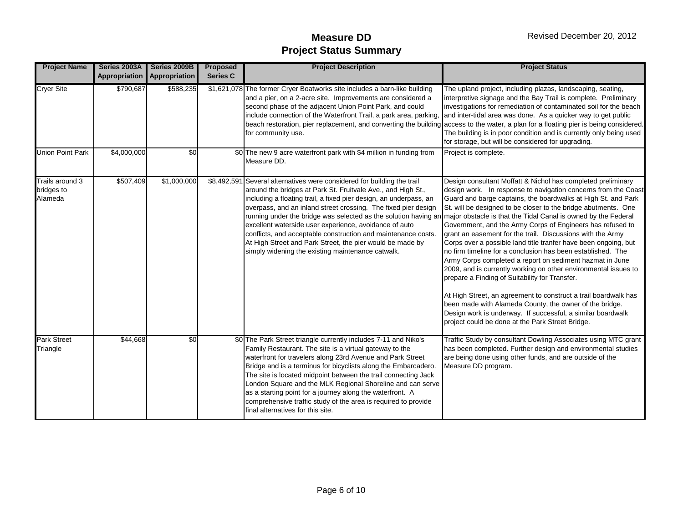| <b>Project Name</b>                      | Series 2003A | Series 2009B<br><b>Appropriation Appropriation</b> | <b>Proposed</b><br><b>Series C</b> | <b>Project Description</b>                                                                                                                                                                                                                                                                                                                                                                                                                                                                                                                                                                                                                                    | <b>Project Status</b>                                                                                                                                                                                                                                                                                                                                                                                                                                                                                                                                                                                                                                                                                                                                                                                                                                                                                                                                             |
|------------------------------------------|--------------|----------------------------------------------------|------------------------------------|---------------------------------------------------------------------------------------------------------------------------------------------------------------------------------------------------------------------------------------------------------------------------------------------------------------------------------------------------------------------------------------------------------------------------------------------------------------------------------------------------------------------------------------------------------------------------------------------------------------------------------------------------------------|-------------------------------------------------------------------------------------------------------------------------------------------------------------------------------------------------------------------------------------------------------------------------------------------------------------------------------------------------------------------------------------------------------------------------------------------------------------------------------------------------------------------------------------------------------------------------------------------------------------------------------------------------------------------------------------------------------------------------------------------------------------------------------------------------------------------------------------------------------------------------------------------------------------------------------------------------------------------|
| <b>Cryer Site</b>                        | \$790,687    | \$588,235                                          |                                    | \$1,621,078 The former Cryer Boatworks site includes a barn-like building<br>and a pier, on a 2-acre site. Improvements are considered a<br>second phase of the adjacent Union Point Park, and could<br>include connection of the Waterfront Trail, a park area, parking, and inter-tidal area was done. As a quicker way to get public<br>for community use.                                                                                                                                                                                                                                                                                                 | The upland project, including plazas, landscaping, seating,<br>interpretive signage and the Bay Trail is complete. Preliminary<br>investigations for remediation of contaminated soil for the beach<br>beach restoration, pier replacement, and converting the building access to the water, a plan for a floating pier is being considered.<br>The building is in poor condition and is currently only being used<br>for storage, but will be considered for upgrading.                                                                                                                                                                                                                                                                                                                                                                                                                                                                                          |
| <b>Union Point Park</b>                  | \$4,000,000  | $\frac{6}{3}$                                      |                                    | \$0 The new 9 acre waterfront park with \$4 million in funding from<br>Measure DD.                                                                                                                                                                                                                                                                                                                                                                                                                                                                                                                                                                            | Project is complete.                                                                                                                                                                                                                                                                                                                                                                                                                                                                                                                                                                                                                                                                                                                                                                                                                                                                                                                                              |
| Trails around 3<br>bridges to<br>Alameda | \$507,409    | \$1,000,000                                        |                                    | \$8,492,591 Several alternatives were considered for building the trail<br>around the bridges at Park St. Fruitvale Ave., and High St.,<br>including a floating trail, a fixed pier design, an underpass, an<br>overpass, and an inland street crossing. The fixed pier design<br>running under the bridge was selected as the solution having an major obstacle is that the Tidal Canal is owned by the Federal<br>excellent waterside user experience, avoidance of auto<br>conflicts, and acceptable construction and maintenance costs.<br>At High Street and Park Street, the pier would be made by<br>simply widening the existing maintenance catwalk. | Design consultant Moffatt & Nichol has completed preliminary<br>design work. In response to navigation concerns from the Coast<br>Guard and barge captains, the boardwalks at High St. and Park<br>St. will be designed to be closer to the bridge abutments. One<br>Government, and the Army Corps of Engineers has refused to<br>grant an easement for the trail. Discussions with the Army<br>Corps over a possible land title tranfer have been ongoing, but<br>no firm timeline for a conclusion has been established. The<br>Army Corps completed a report on sediment hazmat in June<br>2009, and is currently working on other environmental issues to<br>prepare a Finding of Suitability for Transfer.<br>At High Street, an agreement to construct a trail boardwalk has<br>been made with Alameda County, the owner of the bridge.<br>Design work is underway. If successful, a similar boardwalk<br>project could be done at the Park Street Bridge. |
| <b>Park Street</b><br>Triangle           | \$44,668     | \$0                                                |                                    | \$0 The Park Street triangle currently includes 7-11 and Niko's<br>Family Restaurant. The site is a virtual gateway to the<br>waterfront for travelers along 23rd Avenue and Park Street<br>Bridge and is a terminus for bicyclists along the Embarcadero.<br>The site is located midpoint between the trail connecting Jack<br>London Square and the MLK Regional Shoreline and can serve<br>as a starting point for a journey along the waterfront. A<br>comprehensive traffic study of the area is required to provide<br>final alternatives for this site.                                                                                                | Traffic Study by consultant Dowling Associates using MTC grant<br>has been completed. Further design and environmental studies<br>are being done using other funds, and are outside of the<br>Measure DD program.                                                                                                                                                                                                                                                                                                                                                                                                                                                                                                                                                                                                                                                                                                                                                 |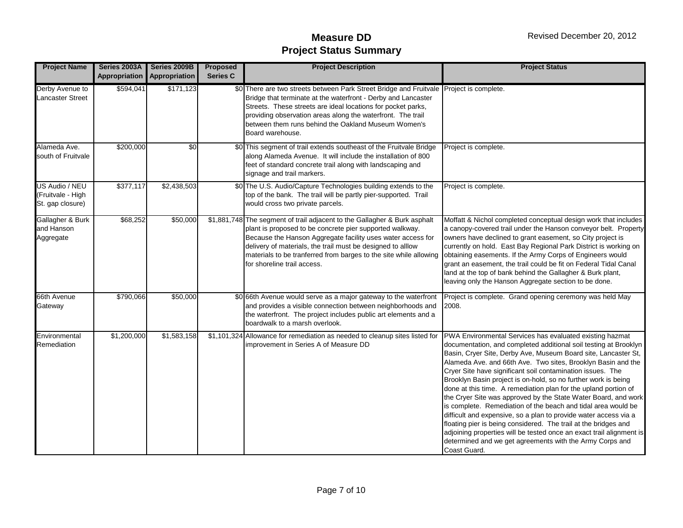| <b>Project Name</b>                                     | Series 2003A<br>Appropriation | Series 2009B<br>Appropriation | Proposed<br><b>Series C</b> | <b>Project Description</b>                                                                                                                                                                                                                                                                                                                                              | <b>Project Status</b>                                                                                                                                                                                                                                                                                                                                                                                                                                                                                                                                                                                                                                                                                                                                                                                                                                                                           |
|---------------------------------------------------------|-------------------------------|-------------------------------|-----------------------------|-------------------------------------------------------------------------------------------------------------------------------------------------------------------------------------------------------------------------------------------------------------------------------------------------------------------------------------------------------------------------|-------------------------------------------------------------------------------------------------------------------------------------------------------------------------------------------------------------------------------------------------------------------------------------------------------------------------------------------------------------------------------------------------------------------------------------------------------------------------------------------------------------------------------------------------------------------------------------------------------------------------------------------------------------------------------------------------------------------------------------------------------------------------------------------------------------------------------------------------------------------------------------------------|
| Derby Avenue to<br><b>Lancaster Street</b>              | \$594,041                     | \$171,123                     |                             | \$0 There are two streets between Park Street Bridge and Fruitvale Project is complete.<br>Bridge that terminate at the waterfront - Derby and Lancaster<br>Streets. These streets are ideal locations for pocket parks,<br>providing observation areas along the waterfront. The trail<br>between them runs behind the Oakland Museum Women's<br>Board warehouse.      |                                                                                                                                                                                                                                                                                                                                                                                                                                                                                                                                                                                                                                                                                                                                                                                                                                                                                                 |
| Alameda Ave.<br>south of Fruitvale                      | \$200,000                     | \$0                           |                             | \$0 This segment of trail extends southeast of the Fruitvale Bridge<br>along Alameda Avenue. It will include the installation of 800<br>feet of standard concrete trail along with landscaping and<br>signage and trail markers.                                                                                                                                        | Project is complete.                                                                                                                                                                                                                                                                                                                                                                                                                                                                                                                                                                                                                                                                                                                                                                                                                                                                            |
| US Audio / NEU<br>(Fruitvale - High<br>St. gap closure) | \$377,117                     | \$2,438,503                   |                             | \$0 The U.S. Audio/Capture Technologies building extends to the<br>top of the bank. The trail will be partly pier-supported. Trail<br>would cross two private parcels.                                                                                                                                                                                                  | Project is complete.                                                                                                                                                                                                                                                                                                                                                                                                                                                                                                                                                                                                                                                                                                                                                                                                                                                                            |
| Gallagher & Burk<br>and Hanson<br>Aggregate             | \$68,252                      | \$50,000                      |                             | \$1,881,748 The segment of trail adjacent to the Gallagher & Burk asphalt<br>plant is proposed to be concrete pier supported walkway.<br>Because the Hanson Aggregate facility uses water access for<br>delivery of materials, the trail must be designed to alllow<br>materials to be tranferred from barges to the site while allowing<br>for shoreline trail access. | Moffatt & Nichol completed conceptual design work that includes<br>a canopy-covered trail under the Hanson conveyor belt. Property<br>owners have declined to grant easement, so City project is<br>currently on hold. East Bay Regional Park District is working on<br>obtaining easements. If the Army Corps of Engineers would<br>grant an easement, the trail could be fit on Federal Tidal Canal<br>land at the top of bank behind the Gallagher & Burk plant,<br>leaving only the Hanson Aggregate section to be done.                                                                                                                                                                                                                                                                                                                                                                    |
| 66th Avenue<br>Gateway                                  | \$790,066                     | \$50,000                      |                             | \$0 66th Avenue would serve as a major gateway to the waterfront<br>and provides a visible connection between neighborhoods and<br>the waterfront. The project includes public art elements and a<br>boardwalk to a marsh overlook.                                                                                                                                     | Project is complete. Grand opening ceremony was held May<br>2008.                                                                                                                                                                                                                                                                                                                                                                                                                                                                                                                                                                                                                                                                                                                                                                                                                               |
| Environmental<br>Remediation                            | \$1,200,000                   | \$1,583,158                   |                             | \$1,101,324 Allowance for remediation as needed to cleanup sites listed for<br>improvement in Series A of Measure DD                                                                                                                                                                                                                                                    | PWA Environmental Services has evaluated existing hazmat<br>documentation, and completed additional soil testing at Brooklyn<br>Basin, Cryer Site, Derby Ave, Museum Board site, Lancaster St,<br>Alameda Ave. and 66th Ave. Two sites, Brooklyn Basin and the<br>Cryer Site have significant soil contamination issues. The<br>Brooklyn Basin project is on-hold, so no further work is being<br>done at this time. A remediation plan for the upland portion of<br>the Cryer Site was approved by the State Water Board, and work<br>is complete. Remediation of the beach and tidal area would be<br>difficult and expensive, so a plan to provide water access via a<br>floating pier is being considered. The trail at the bridges and<br>adjoining properties will be tested once an exact trail alignment is<br>determined and we get agreements with the Army Corps and<br>Coast Guard. |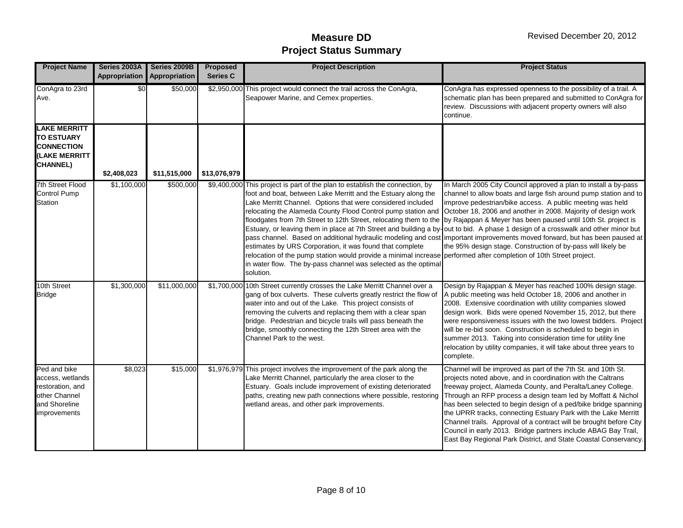| <b>Project Name</b>                                                                                    | Series 2003A | Series 2009B<br>Appropriation Appropriation | Proposed<br><b>Series C</b> | <b>Project Description</b>                                                                                                                                                                                                                                                                                                                                                                                                                                                                                                                                                                                                                                                                                                                     | <b>Project Status</b>                                                                                                                                                                                                                                                                                                                                                                                                                                                                                                                                                                                      |
|--------------------------------------------------------------------------------------------------------|--------------|---------------------------------------------|-----------------------------|------------------------------------------------------------------------------------------------------------------------------------------------------------------------------------------------------------------------------------------------------------------------------------------------------------------------------------------------------------------------------------------------------------------------------------------------------------------------------------------------------------------------------------------------------------------------------------------------------------------------------------------------------------------------------------------------------------------------------------------------|------------------------------------------------------------------------------------------------------------------------------------------------------------------------------------------------------------------------------------------------------------------------------------------------------------------------------------------------------------------------------------------------------------------------------------------------------------------------------------------------------------------------------------------------------------------------------------------------------------|
| ConAgra to 23rd<br>Ave.                                                                                | \$0          | \$50,000                                    | \$2,950,000                 | This project would connect the trail across the ConAgra,<br>Seapower Marine, and Cemex properties.                                                                                                                                                                                                                                                                                                                                                                                                                                                                                                                                                                                                                                             | ConAgra has expressed openness to the possibility of a trail. A<br>schematic plan has been prepared and submitted to ConAgra for<br>review. Discussions with adjacent property owners will also<br>continue.                                                                                                                                                                                                                                                                                                                                                                                               |
| <b>LAKE MERRITT</b><br><b>TO ESTUARY</b><br><b>CONNECTION</b><br>(LAKE MERRITT<br><b>CHANNEL)</b>      | \$2,408,023  | \$11,515,000                                | \$13,076,979                |                                                                                                                                                                                                                                                                                                                                                                                                                                                                                                                                                                                                                                                                                                                                                |                                                                                                                                                                                                                                                                                                                                                                                                                                                                                                                                                                                                            |
| 7th Street Flood<br>Control Pump<br>Station                                                            | \$1,100,000  | \$500,000                                   |                             | \$9,400,000 This project is part of the plan to establish the connection, by<br>foot and boat, between Lake Merritt and the Estuary along the<br>Lake Merritt Channel. Options that were considered included<br>relocating the Alameda County Flood Control pump station and October 18, 2006 and another in 2008. Majority of design work<br>floodgates from 7th Street to 12th Street, relocating them to the by Rajappan & Meyer has been paused until 10th St. project is<br>estimates by URS Corporation, it was found that complete<br>relocation of the pump station would provide a minimal increase performed after completion of 10th Street project.<br>in water flow. The by-pass channel was selected as the optimal<br>solution. | In March 2005 City Council approved a plan to install a by-pass<br>channel to allow boats and large fish around pump station and to<br>improve pedestrian/bike access. A public meeting was held<br>Estuary, or leaving them in place at 7th Street and building a by-out to bid. A phase 1 design of a crosswalk and other minor but<br>pass channel. Based on additional hydraulic modeling and cost important improvements moved forward, but has been paused at<br>the 95% design stage. Construction of by-pass will likely be                                                                        |
| 10th Street<br><b>Bridge</b>                                                                           | \$1,300,000  | \$11,000,000                                |                             | \$1,700,000 10th Street currently crosses the Lake Merritt Channel over a<br>gang of box culverts. These culverts greatly restrict the flow of<br>water into and out of the Lake. This project consists of<br>removing the culverts and replacing them with a clear span<br>bridge. Pedestrian and bicycle trails will pass beneath the<br>bridge, smoothly connecting the 12th Street area with the<br>Channel Park to the west.                                                                                                                                                                                                                                                                                                              | Design by Rajappan & Meyer has reached 100% design stage.<br>A public meeting was held October 18, 2006 and another in<br>2008. Extensive coordination with utility companies slowed<br>design work. Bids were opened November 15, 2012, but there<br>were responsiveness issues with the two lowest bidders. Project<br>will be re-bid soon. Construction is scheduled to begin in<br>summer 2013. Taking into consideration time for utility line<br>relocation by utility companies, it will take about three years to<br>complete.                                                                     |
| Ped and bike<br>access, wetlands<br>restoration, and<br>other Channel<br>and Shoreline<br>improvements | \$8,023      | \$15,000                                    |                             | \$1,976,979 This project involves the improvement of the park along the<br>Lake Merritt Channel, particularly the area closer to the<br>Estuary. Goals include improvement of existing deteriorated<br>paths, creating new path connections where possible, restoring<br>wetland areas, and other park improvements.                                                                                                                                                                                                                                                                                                                                                                                                                           | Channel will be improved as part of the 7th St. and 10th St.<br>projects noted above, and in coordination with the Caltrans<br>freeway project, Alameda County, and Peralta/Laney College.<br>Through an RFP process a design team led by Moffatt & Nichol<br>has been selected to begin design of a ped/bike bridge spanning<br>the UPRR tracks, connecting Estuary Park with the Lake Merritt<br>Channel trails. Approval of a contract will be brought before City<br>Council in early 2013. Bridge partners include ABAG Bay Trail,<br>East Bay Regional Park District, and State Coastal Conservancy. |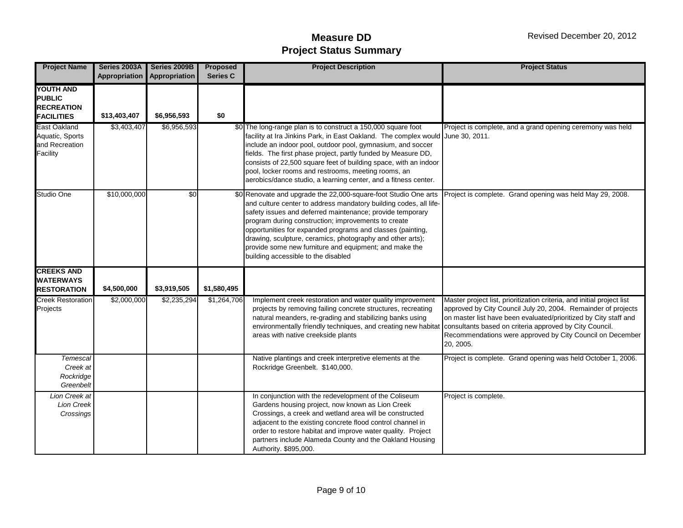| <b>Project Name</b>                                                         | Series 2003A | Series 2009B<br>Appropriation Appropriation | <b>Proposed</b><br><b>Series C</b> | <b>Project Description</b>                                                                                                                                                                                                                                                                                                                                                                                                                                                            | <b>Project Status</b>                                                                                                                                                                                                                                                                 |
|-----------------------------------------------------------------------------|--------------|---------------------------------------------|------------------------------------|---------------------------------------------------------------------------------------------------------------------------------------------------------------------------------------------------------------------------------------------------------------------------------------------------------------------------------------------------------------------------------------------------------------------------------------------------------------------------------------|---------------------------------------------------------------------------------------------------------------------------------------------------------------------------------------------------------------------------------------------------------------------------------------|
| <b>YOUTH AND</b><br><b>PUBLIC</b><br><b>RECREATION</b><br><b>FACILITIES</b> | \$13,403,407 | \$6,956,593                                 | \$0                                |                                                                                                                                                                                                                                                                                                                                                                                                                                                                                       |                                                                                                                                                                                                                                                                                       |
| East Oakland<br>Aquatic, Sports<br>and Recreation<br>Facility               | \$3,403,407  | \$6,956,593                                 |                                    | \$0 The long-range plan is to construct a 150,000 square foot<br>facility at Ira Jinkins Park, in East Oakland. The complex would June 30, 2011.<br>include an indoor pool, outdoor pool, gymnasium, and soccer<br>fields. The first phase project, partly funded by Measure DD,<br>consists of 22,500 square feet of building space, with an indoor<br>pool, locker rooms and restrooms, meeting rooms, an<br>aerobics/dance studio, a learning center, and a fitness center.        | Project is complete, and a grand opening ceremony was held                                                                                                                                                                                                                            |
| Studio One                                                                  | \$10,000,000 | $\sqrt{6}$                                  |                                    | \$0 Renovate and upgrade the 22,000-square-foot Studio One arts<br>and culture center to address mandatory building codes, all life-<br>safety issues and deferred maintenance; provide temporary<br>program during construction; improvements to create<br>opportunities for expanded programs and classes (painting,<br>drawing, sculpture, ceramics, photography and other arts);<br>provide some new furniture and equipment; and make the<br>building accessible to the disabled | Project is complete. Grand opening was held May 29, 2008.                                                                                                                                                                                                                             |
| <b>CREEKS AND</b><br><b>WATERWAYS</b><br><b>RESTORATION</b>                 | \$4,500,000  | \$3,919,505                                 | \$1,580,495                        |                                                                                                                                                                                                                                                                                                                                                                                                                                                                                       |                                                                                                                                                                                                                                                                                       |
| <b>Creek Restoration</b><br>Projects                                        | \$2,000,000  | \$2,235,294                                 | \$1,264,706                        | Implement creek restoration and water quality improvement<br>projects by removing failing concrete structures, recreating<br>natural meanders, re-grading and stabilizing banks using<br>environmentally friendly techniques, and creating new habitat consultants based on criteria approved by City Council.<br>areas with native creekside plants                                                                                                                                  | Master project list, prioritization criteria, and initial project list<br>approved by City Council July 20, 2004. Remainder of projects<br>on master list have been evaluated/prioritized by City staff and<br>Recommendations were approved by City Council on December<br>20, 2005. |
| Temescal<br>Creek at<br>Rockridge<br>Greenbelt                              |              |                                             |                                    | Native plantings and creek interpretive elements at the<br>Rockridge Greenbelt. \$140,000.                                                                                                                                                                                                                                                                                                                                                                                            | Project is complete. Grand opening was held October 1, 2006.                                                                                                                                                                                                                          |
| Lion Creek at<br><b>Lion Creek</b><br>Crossings                             |              |                                             |                                    | In conjunction with the redevelopment of the Coliseum<br>Gardens housing project, now known as Lion Creek<br>Crossings, a creek and wetland area will be constructed<br>adjacent to the existing concrete flood control channel in<br>order to restore habitat and improve water quality. Project<br>partners include Alameda County and the Oakland Housing<br>Authority. \$895,000.                                                                                                 | Project is complete.                                                                                                                                                                                                                                                                  |